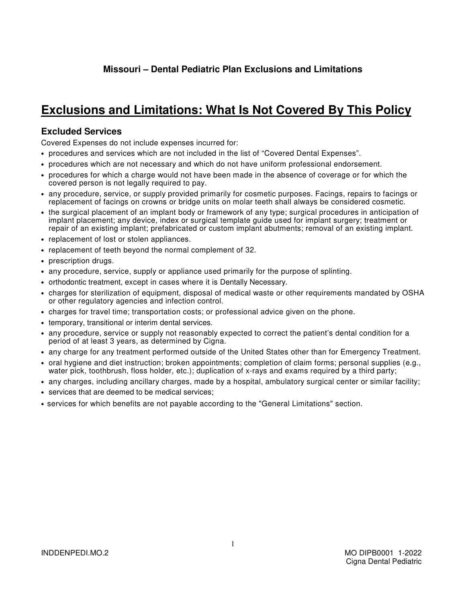## **Missouri – Dental Pediatric Plan Exclusions and Limitations**

## **Exclusions and Limitations: What Is Not Covered By This Policy**

## **Excluded Services**

Covered Expenses do not include expenses incurred for:

- procedures and services which are not included in the list of "Covered Dental Expenses".
- procedures which are not necessary and which do not have uniform professional endorsement.
- procedures for which a charge would not have been made in the absence of coverage or for which the covered person is not legally required to pay.
- any procedure, service, or supply provided primarily for cosmetic purposes. Facings, repairs to facings or replacement of facings on crowns or bridge units on molar teeth shall always be considered cosmetic.
- the surgical placement of an implant body or framework of any type; surgical procedures in anticipation of implant placement; any device, index or surgical template guide used for implant surgery; treatment or repair of an existing implant; prefabricated or custom implant abutments; removal of an existing implant.
- replacement of lost or stolen appliances.
- replacement of teeth beyond the normal complement of 32.
- prescription drugs.
- any procedure, service, supply or appliance used primarily for the purpose of splinting.
- orthodontic treatment, except in cases where it is Dentally Necessary.
- charges for sterilization of equipment, disposal of medical waste or other requirements mandated by OSHA or other regulatory agencies and infection control.
- charges for travel time; transportation costs; or professional advice given on the phone.
- temporary, transitional or interim dental services.
- any procedure, service or supply not reasonably expected to correct the patient's dental condition for a period of at least 3 years, as determined by Cigna.
- any charge for any treatment performed outside of the United States other than for Emergency Treatment.
- oral hygiene and diet instruction; broken appointments; completion of claim forms; personal supplies (e.g., water pick, toothbrush, floss holder, etc.); duplication of x-rays and exams required by a third party;
- any charges, including ancillary charges, made by a hospital, ambulatory surgical center or similar facility;
- services that are deemed to be medical services;
- services for which benefits are not payable according to the "General Limitations" section.